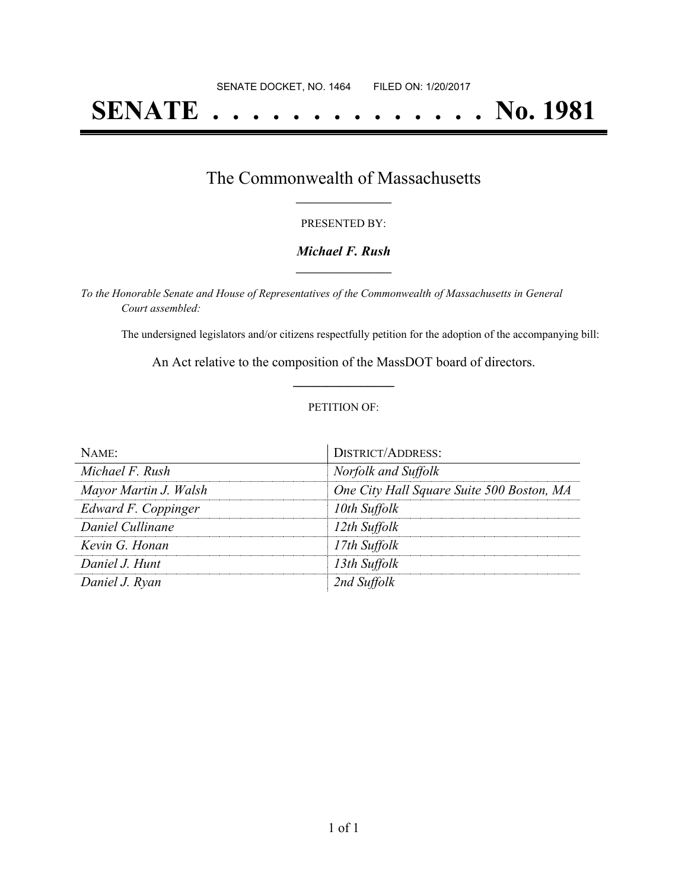# **SENATE . . . . . . . . . . . . . . No. 1981**

### The Commonwealth of Massachusetts **\_\_\_\_\_\_\_\_\_\_\_\_\_\_\_\_\_**

#### PRESENTED BY:

#### *Michael F. Rush* **\_\_\_\_\_\_\_\_\_\_\_\_\_\_\_\_\_**

*To the Honorable Senate and House of Representatives of the Commonwealth of Massachusetts in General Court assembled:*

The undersigned legislators and/or citizens respectfully petition for the adoption of the accompanying bill:

An Act relative to the composition of the MassDOT board of directors. **\_\_\_\_\_\_\_\_\_\_\_\_\_\_\_**

#### PETITION OF:

| Name:                 | <b>DISTRICT/ADDRESS:</b>                  |
|-----------------------|-------------------------------------------|
| Michael F. Rush       | Norfolk and Suffolk                       |
| Mayor Martin J. Walsh | One City Hall Square Suite 500 Boston, MA |
| Edward F. Coppinger   | 10th Suffolk                              |
| Daniel Cullinane      | 12th Suffolk                              |
| Kevin G. Honan        | 17th Suffolk                              |
| Daniel J. Hunt        | 13th Suffolk                              |
| Daniel J. Ryan        | 2nd Suffolk                               |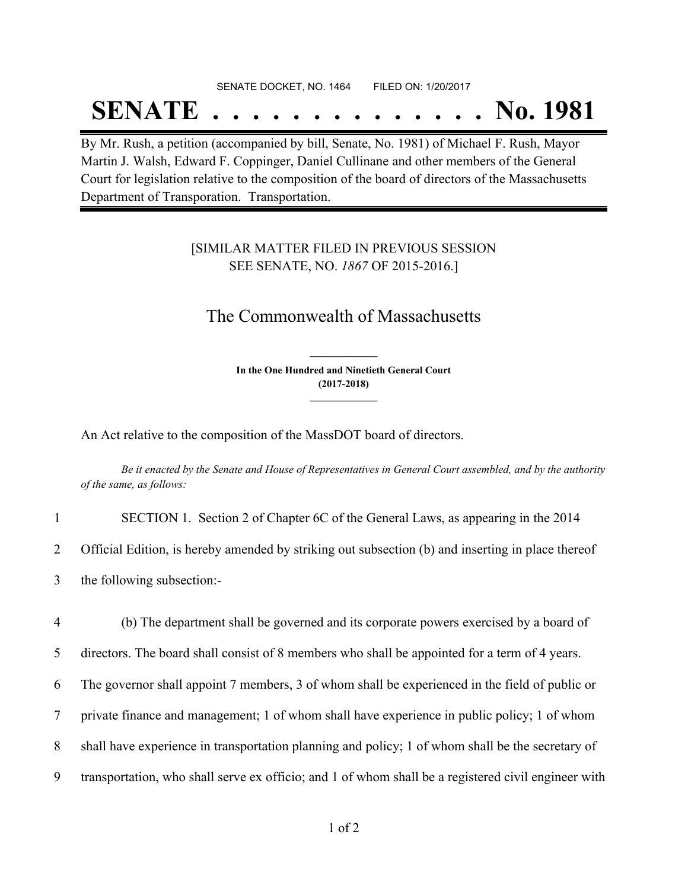## SENATE DOCKET, NO. 1464 FILED ON: 1/20/2017

## **SENATE . . . . . . . . . . . . . . No. 1981**

By Mr. Rush, a petition (accompanied by bill, Senate, No. 1981) of Michael F. Rush, Mayor Martin J. Walsh, Edward F. Coppinger, Daniel Cullinane and other members of the General Court for legislation relative to the composition of the board of directors of the Massachusetts Department of Transporation. Transportation.

#### [SIMILAR MATTER FILED IN PREVIOUS SESSION SEE SENATE, NO. *1867* OF 2015-2016.]

### The Commonwealth of Massachusetts

**In the One Hundred and Ninetieth General Court (2017-2018) \_\_\_\_\_\_\_\_\_\_\_\_\_\_\_**

**\_\_\_\_\_\_\_\_\_\_\_\_\_\_\_**

An Act relative to the composition of the MassDOT board of directors.

Be it enacted by the Senate and House of Representatives in General Court assembled, and by the authority *of the same, as follows:*

| SECTION 1. Section 2 of Chapter 6C of the General Laws, as appearing in the 2014                  |
|---------------------------------------------------------------------------------------------------|
| Official Edition, is hereby amended by striking out subsection (b) and inserting in place thereof |
| the following subsection:-                                                                        |

 (b) The department shall be governed and its corporate powers exercised by a board of directors. The board shall consist of 8 members who shall be appointed for a term of 4 years. The governor shall appoint 7 members, 3 of whom shall be experienced in the field of public or private finance and management; 1 of whom shall have experience in public policy; 1 of whom shall have experience in transportation planning and policy; 1 of whom shall be the secretary of transportation, who shall serve ex officio; and 1 of whom shall be a registered civil engineer with